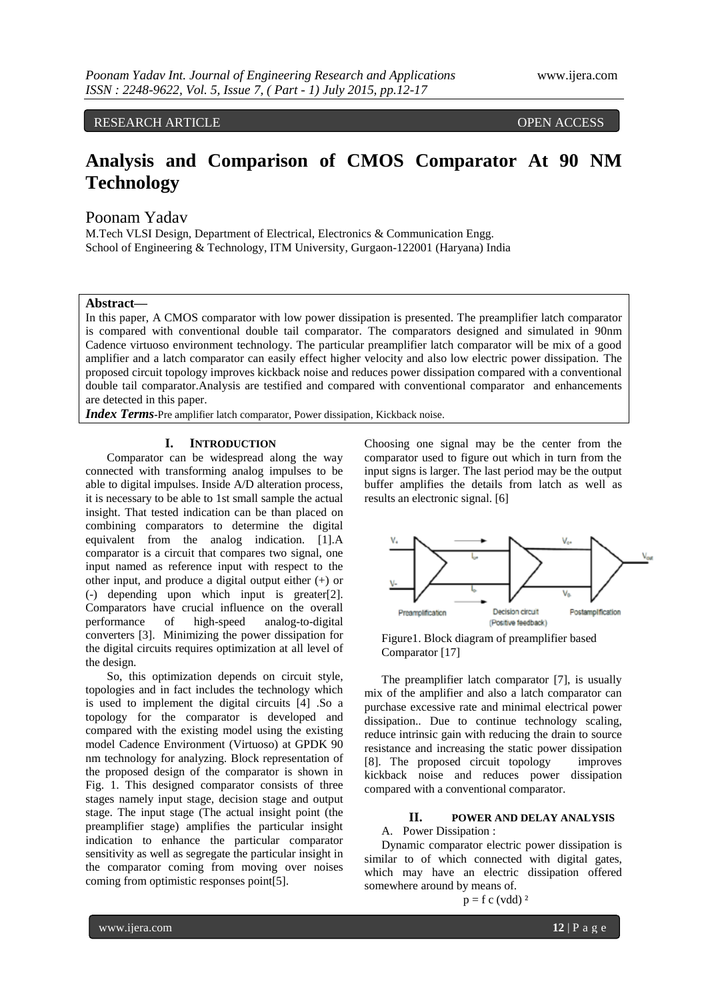RESEARCH ARTICLE **ARTICLE** And the contract of the contract of the contract of the contract of the contract of the contract of the contract of the contract of the contract of the contract of the contract of the contract of

# **Analysis and Comparison of CMOS Comparator At 90 NM Technology**

Poonam Yadav

M.Tech VLSI Design, Department of Electrical, Electronics & Communication Engg. School of Engineering & Technology, ITM University, Gurgaon-122001 (Haryana) India

#### **Abstract—**

In this paper, A CMOS comparator with low power dissipation is presented. The preamplifier latch comparator is compared with conventional double tail comparator. The comparators designed and simulated in 90nm Cadence virtuoso environment technology. The particular preamplifier latch comparator will be mix of a good amplifier and a latch comparator can easily effect higher velocity and also low electric power dissipation. The proposed circuit topology improves kickback noise and reduces power dissipation compared with a conventional double tail comparator.Analysis are testified and compared with conventional comparator and enhancements are detected in this paper.

*Index Terms***-**Pre amplifier latch comparator, Power dissipation, Kickback noise.

#### **I. INTRODUCTION**

Comparator can be widespread along the way connected with transforming analog impulses to be able to digital impulses. Inside A/D alteration process, it is necessary to be able to 1st small sample the actual insight. That tested indication can be than placed on combining comparators to determine the digital equivalent from the analog indication. [1].A comparator is a circuit that compares two signal, one input named as reference input with respect to the other input, and produce a digital output either (+) or (-) depending upon which input is greater[2]. Comparators have crucial influence on the overall performance of high-speed analog-to-digital converters [3]. Minimizing the power dissipation for the digital circuits requires optimization at all level of the design.

So, this optimization depends on circuit style, topologies and in fact includes the technology which is used to implement the digital circuits [4] .So a topology for the comparator is developed and compared with the existing model using the existing model Cadence Environment (Virtuoso) at GPDK 90 nm technology for analyzing. Block representation of the proposed design of the comparator is shown in Fig. 1. This designed comparator consists of three stages namely input stage, decision stage and output stage. The input stage (The actual insight point (the preamplifier stage) amplifies the particular insight indication to enhance the particular comparator sensitivity as well as segregate the particular insight in the comparator coming from moving over noises coming from optimistic responses point[5].

Choosing one signal may be the center from the comparator used to figure out which in turn from the input signs is larger. The last period may be the output buffer amplifies the details from latch as well as results an electronic signal. [6]



Figure1. Block diagram of preamplifier based Comparator [17]

The preamplifier latch comparator [7], is usually mix of the amplifier and also a latch comparator can purchase excessive rate and minimal electrical power dissipation.. Due to continue technology scaling, reduce intrinsic gain with reducing the drain to source resistance and increasing the static power dissipation [8]. The proposed circuit topology improves kickback noise and reduces power dissipation compared with a conventional comparator.

## **II. POWER AND DELAY ANALYSIS**

## A. Power Dissipation :

Dynamic comparator electric power dissipation is similar to of which connected with digital gates, which may have an electric dissipation offered somewhere around by means of.

$$
p = f c (vdd)^2
$$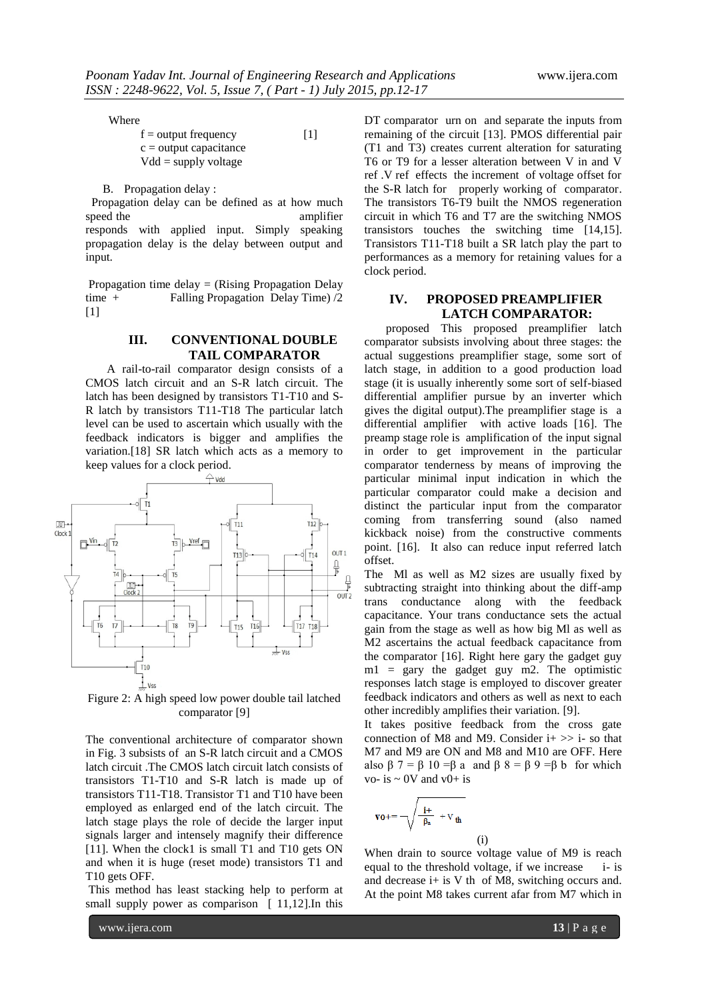Where

| $f =$ output frequency   | $\lceil 1 \rceil$ |
|--------------------------|-------------------|
| $c =$ output capacitance |                   |
| $Vdd =$ supply voltage   |                   |

B. Propagation delay :

Propagation delay can be defined as at how much speed the amplifier responds with applied input. Simply speaking propagation delay is the delay between output and input.

Propagation time delay = (Rising Propagation Delay time + Falling Propagation Delay Time) /2  $[1]$ 

#### **III. CONVENTIONAL DOUBLE TAIL COMPARATOR**

A rail-to-rail comparator design consists of a CMOS latch circuit and an S-R latch circuit. The latch has been designed by transistors T1-T10 and S-R latch by transistors T11-T18 The particular latch level can be used to ascertain which usually with the feedback indicators is bigger and amplifies the variation.[18] SR latch which acts as a memory to keep values for a clock period.



Figure 2: A high speed low power double tail latched comparator [9]

The conventional architecture of comparator shown in Fig. 3 subsists of an S-R latch circuit and a CMOS latch circuit .The CMOS latch circuit latch consists of transistors T1-T10 and S-R latch is made up of transistors T11-T18. Transistor T1 and T10 have been employed as enlarged end of the latch circuit. The latch stage plays the role of decide the larger input signals larger and intensely magnify their difference [11]. When the clock1 is small T1 and T10 gets ON and when it is huge (reset mode) transistors T1 and T10 gets OFF.

This method has least stacking help to perform at small supply power as comparison [ 11,12]. In this

DT comparator urn on and separate the inputs from remaining of the circuit [13]. PMOS differential pair (T1 and T3) creates current alteration for saturating T6 or T9 for a lesser alteration between V in and V ref .V ref effects the increment of voltage offset for the S-R latch for properly working of comparator. The transistors T6-T9 built the NMOS regeneration circuit in which T6 and T7 are the switching NMOS transistors touches the switching time [14,15]. Transistors T11-T18 built a SR latch play the part to performances as a memory for retaining values for a clock period.

### **IV. PROPOSED PREAMPLIFIER LATCH COMPARATOR:**

proposed This proposed preamplifier latch comparator subsists involving about three stages: the actual suggestions preamplifier stage, some sort of latch stage, in addition to a good production load stage (it is usually inherently some sort of self-biased differential amplifier pursue by an inverter which gives the digital output).The preamplifier stage is a differential amplifier with active loads [16]. The preamp stage role is amplification of the input signal in order to get improvement in the particular comparator tenderness by means of improving the particular minimal input indication in which the particular comparator could make a decision and distinct the particular input from the comparator coming from transferring sound (also named kickback noise) from the constructive comments point. [16]. It also can reduce input referred latch offset.

The Ml as well as M2 sizes are usually fixed by subtracting straight into thinking about the diff-amp trans conductance along with the feedback capacitance. Your trans conductance sets the actual gain from the stage as well as how big Ml as well as M2 ascertains the actual feedback capacitance from the comparator [16]. Right here gary the gadget guy  $ml = gary$  the gadget guy m2. The optimistic responses latch stage is employed to discover greater feedback indicators and others as well as next to each other incredibly amplifies their variation. [9].

It takes positive feedback from the cross gate connection of M8 and M9. Consider  $i+ >> i-$  so that M7 and M9 are ON and M8 and M10 are OFF. Here also  $\beta$  7 =  $\beta$  10 = $\beta$  a and  $\beta$  8 =  $\beta$  9 = $\beta$  b for which vo- is  $\sim$  0V and v0+ is

$$
v\textbf{o} += \sqrt{\frac{i^+}{\beta_a} + V_{th}}
$$

When drain to source voltage value of M9 is reach equal to the threshold voltage, if we increase i- is and decrease i+ is V th of M8, switching occurs and. At the point M8 takes current afar from M7 which in

(i)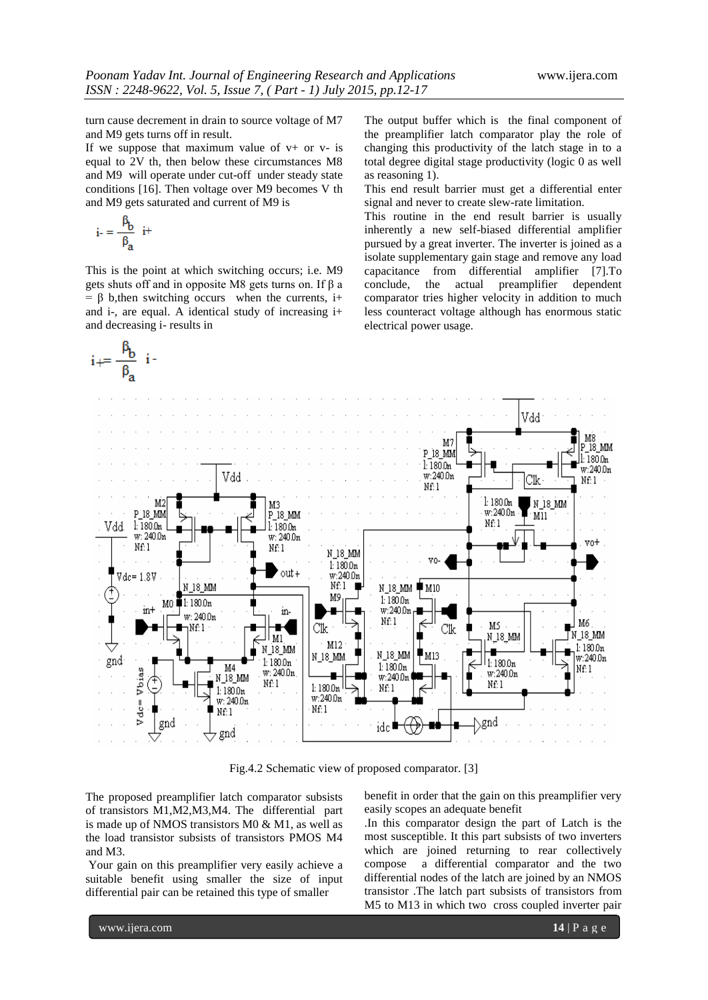turn cause decrement in drain to source voltage of M7 and M9 gets turns off in result.

If we suppose that maximum value of  $v+$  or  $v-$  is equal to 2V th, then below these circumstances M8 and M9 will operate under cut-off under steady state conditions [16]. Then voltage over M9 becomes V th and M9 gets saturated and current of M9 is

$$
i = \frac{\beta_b}{\beta_a} i^+
$$

This is the point at which switching occurs; i.e. M9 gets shuts off and in opposite M8 gets turns on. If β a  $= \beta$  b, then switching occurs when the currents, i+ and i-, are equal. A identical study of increasing i+ and decreasing i- results in

The output buffer which is the final component of the preamplifier latch comparator play the role of changing this productivity of the latch stage in to a total degree digital stage productivity (logic 0 as well as reasoning 1).

This end result barrier must get a differential enter signal and never to create slew-rate limitation.

This routine in the end result barrier is usually inherently a new self-biased differential amplifier pursued by a great inverter. The inverter is joined as a isolate supplementary gain stage and remove any load capacitance from differential amplifier [7].To conclude, the actual preamplifier dependent comparator tries higher velocity in addition to much less counteract voltage although has enormous static electrical power usage.



Fig.4.2 Schematic view of proposed comparator. [3]

The proposed preamplifier latch comparator subsists of transistors M1,M2,M3,M4. The differential part is made up of NMOS transistors M0 & M1, as well as the load transistor subsists of transistors PMOS M4 and M3.

Your gain on this preamplifier very easily achieve a suitable benefit using smaller the size of input differential pair can be retained this type of smaller

benefit in order that the gain on this preamplifier very easily scopes an adequate benefit

.In this comparator design the part of Latch is the most susceptible. It this part subsists of two inverters which are joined returning to rear collectively compose a differential comparator and the two differential nodes of the latch are joined by an NMOS transistor .The latch part subsists of transistors from M5 to M13 in which two cross coupled inverter pair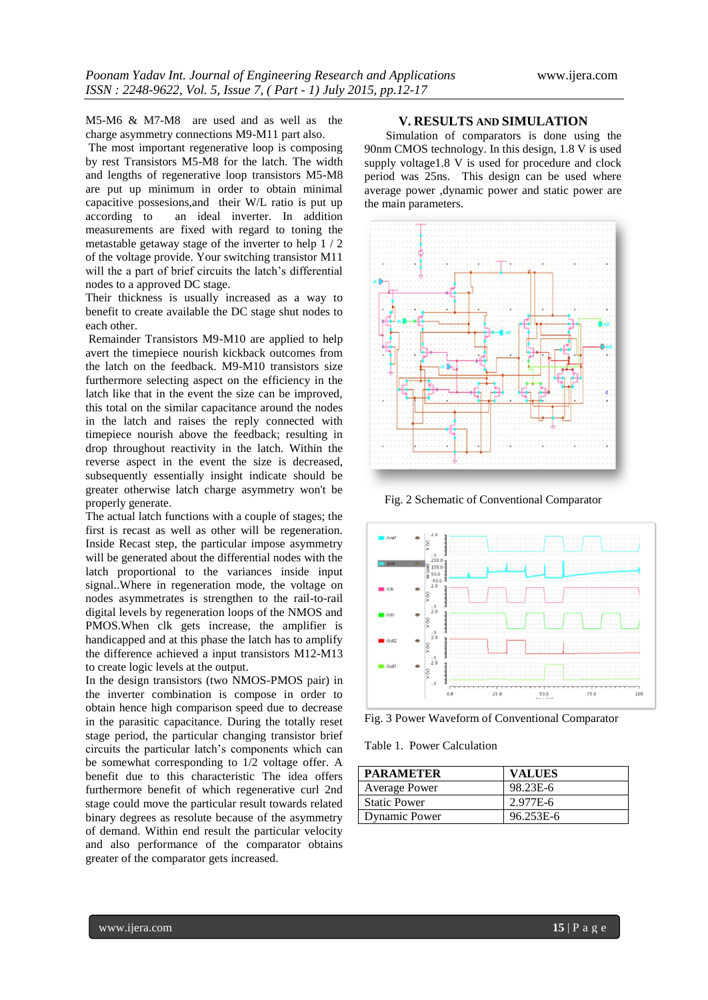M5-M6 & M7-M8 are used and as well as the charge asymmetry connections M9-M11 part also.

The most important regenerative loop is composing by rest Transistors M5-M8 for the latch. The width and lengths of regenerative loop transistors M5-M8 are put up minimum in order to obtain minimal capacitive possesions,and their W/L ratio is put up according to an ideal inverter. In addition measurements are fixed with regard to toning the metastable getaway stage of the inverter to help 1 / 2 of the voltage provide. Your switching transistor M11 will the a part of brief circuits the latch's differential nodes to a approved DC stage.

Their thickness is usually increased as a way to benefit to create available the DC stage shut nodes to each other.

Remainder Transistors M9-M10 are applied to help avert the timepiece nourish kickback outcomes from the latch on the feedback. M9-M10 transistors size furthermore selecting aspect on the efficiency in the latch like that in the event the size can be improved, this total on the similar capacitance around the nodes in the latch and raises the reply connected with timepiece nourish above the feedback; resulting in drop throughout reactivity in the latch. Within the reverse aspect in the event the size is decreased, subsequently essentially insight indicate should be greater otherwise latch charge asymmetry won't be properly generate.

The actual latch functions with a couple of stages; the first is recast as well as other will be regeneration. Inside Recast step, the particular impose asymmetry will be generated about the differential nodes with the latch proportional to the variances inside input signal..Where in regeneration mode, the voltage on nodes asymmetrates is strengthen to the rail-to-rail digital levels by regeneration loops of the NMOS and PMOS.When clk gets increase, the amplifier is handicapped and at this phase the latch has to amplify the difference achieved a input transistors M12-M13 to create logic levels at the output.

In the design transistors (two NMOS-PMOS pair) in the inverter combination is compose in order to obtain hence high comparison speed due to decrease in the parasitic capacitance. During the totally reset stage period, the particular changing transistor brief circuits the particular latch's components which can be somewhat corresponding to 1/2 voltage offer. A benefit due to this characteristic The idea offers furthermore benefit of which regenerative curl 2nd stage could move the particular result towards related binary degrees as resolute because of the asymmetry of demand. Within end result the particular velocity and also performance of the comparator obtains greater of the comparator gets increased.

#### **V. RESULTS AND SIMULATION**

Simulation of comparators is done using the 90nm CMOS technology. In this design, 1.8 V is used supply voltage1.8 V is used for procedure and clock period was 25ns. This design can be used where average power ,dynamic power and static power are the main parameters.



Fig. 2 Schematic of Conventional Comparator



Fig. 3 Power Waveform of Conventional Comparator

Table 1. Power Calculation

| <b>PARAMETER</b>    | <b>VALUES</b> |
|---------------------|---------------|
| Average Power       | 98.23E-6      |
| <b>Static Power</b> | 2.977E-6      |
| Dynamic Power       | 96.253E-6     |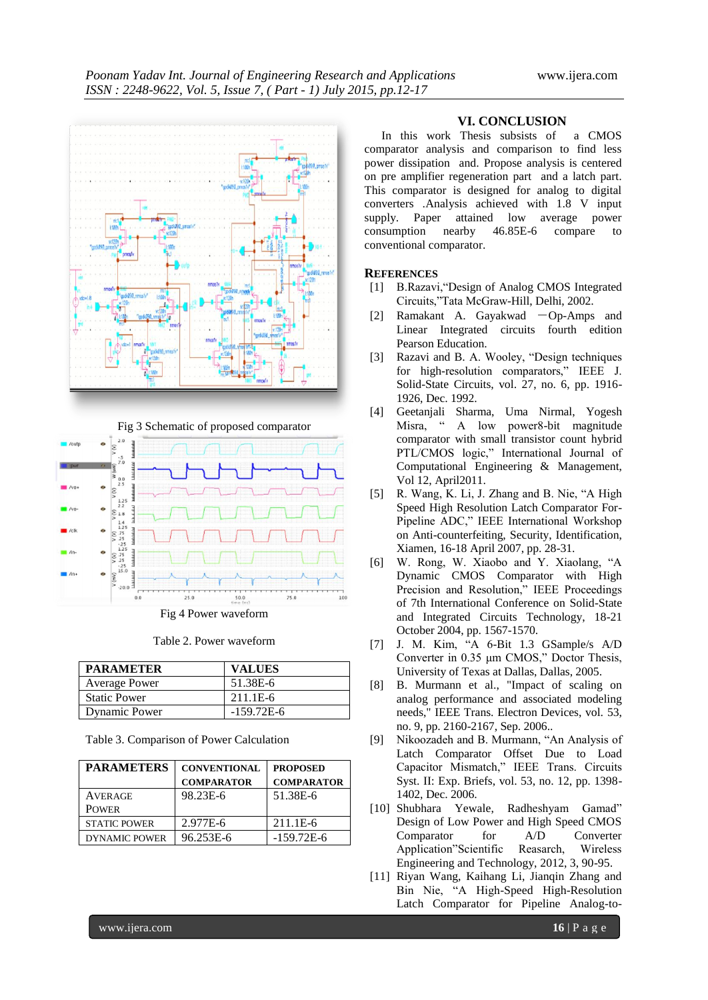

Fig 3 Schematic of proposed comparator



Fig 4 Power waveform

Table 2. Power waveform

| <b>PARAMETER</b>     | <b>VALUES</b> |
|----------------------|---------------|
| <b>Average Power</b> | 51.38E-6      |
| <b>Static Power</b>  | 211.1E-6      |
| Dynamic Power        | $-159.72E-6$  |

Table 3. Comparison of Power Calculation

| <b>PARAMETERS</b>    | <b>CONVENTIONAL</b> | <b>PROPOSED</b>   |
|----------------------|---------------------|-------------------|
|                      | <b>COMPARATOR</b>   | <b>COMPARATOR</b> |
| <b>AVERAGE</b>       | 98.23E-6            | 51.38E-6          |
| <b>POWER</b>         |                     |                   |
| <b>STATIC POWER</b>  | 2.977E-6            | 211.1E-6          |
| <b>DYNAMIC POWER</b> | 96.253E-6           | $-159.72E-6$      |

#### **VI. CONCLUSION**

In this work Thesis subsists of a CMOS comparator analysis and comparison to find less power dissipation and. Propose analysis is centered on pre amplifier regeneration part and a latch part. This comparator is designed for analog to digital converters .Analysis achieved with 1.8 V input supply. Paper attained low average power consumption nearby 46.85E-6 compare to conventional comparator.

#### **REFERENCES**

- [1] B.Razavi,"Design of Analog CMOS Integrated Circuits,"Tata McGraw-Hill, Delhi, 2002.
- [2] Ramakant A. Gayakwad ―Op-Amps and Linear Integrated circuits fourth edition Pearson Education.
- [3] Razavi and B. A. Wooley, "Design techniques for high-resolution comparators," IEEE J. Solid-State Circuits, vol. 27, no. 6, pp. 1916- 1926, Dec. 1992.
- [4] Geetanjali Sharma, Uma Nirmal, Yogesh Misra, " A low power8-bit magnitude comparator with small transistor count hybrid PTL/CMOS logic," International Journal of Computational Engineering & Management, Vol 12, April2011.
- [5] R. Wang, K. Li, J. Zhang and B. Nie, "A High Speed High Resolution Latch Comparator For-Pipeline ADC," IEEE International Workshop on Anti-counterfeiting, Security, Identification, Xiamen, 16-18 April 2007, pp. 28-31.
- [6] W. Rong, W. Xiaobo and Y. Xiaolang, "A Dynamic CMOS Comparator with High Precision and Resolution," IEEE Proceedings of 7th International Conference on Solid-State and Integrated Circuits Technology, 18-21 October 2004, pp. 1567-1570.
- [7] J. M. Kim, "A 6-Bit 1.3 GSample/s A/D Converter in 0.35 μm CMOS," Doctor Thesis, University of Texas at Dallas, Dallas, 2005.
- [8] B. Murmann et al., "Impact of scaling on analog performance and associated modeling needs," IEEE Trans. Electron Devices, vol. 53, no. 9, pp. 2160-2167, Sep. 2006..
- [9] Nikoozadeh and B. Murmann, "An Analysis of Latch Comparator Offset Due to Load Capacitor Mismatch," IEEE Trans. Circuits Syst. II: Exp. Briefs, vol. 53, no. 12, pp. 1398- 1402, Dec. 2006.
- [10] Shubhara Yewale, Radheshyam Gamad" Design of Low Power and High Speed CMOS Comparator for A/D Converter Application"Scientific Reasarch, Wireless Engineering and Technology, 2012, 3, 90-95.
- [11] Riyan Wang, Kaihang Li, Jianqin Zhang and Bin Nie, "A High-Speed High-Resolution Latch Comparator for Pipeline Analog-to-